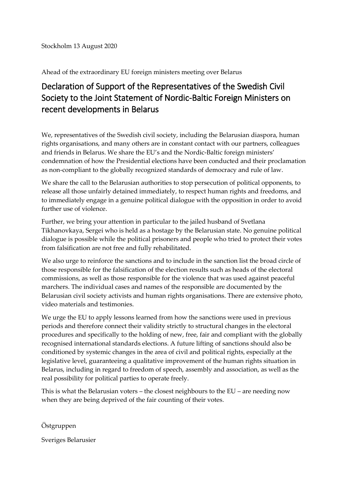Ahead of the extraordinary EU foreign ministers meeting over Belarus

## Declaration of Support of the Representatives of the Swedish Civil Society to the Joint Statement of Nordic-Baltic Foreign Ministers on recent developments in Belarus

We, representatives of the Swedish civil society, including the Belarusian diaspora, human rights organisations, and many others are in constant contact with our partners, colleagues and friends in Belarus. We share the EU's and the Nordic-Baltic foreign ministers' condemnation of how the Presidential elections have been conducted and their proclamation as non-compliant to the globally recognized standards of democracy and rule of law.

We share the call to the Belarusian authorities to stop persecution of political opponents, to release all those unfairly detained immediately, to respect human rights and freedoms, and to immediately engage in a genuine political dialogue with the opposition in order to avoid further use of violence.

Further, we bring your attention in particular to the jailed husband of Svetlana Tikhanovkaya, Sergei who is held as a hostage by the Belarusian state. No genuine political dialogue is possible while the political prisoners and people who tried to protect their votes from falsification are not free and fully rehabilitated.

We also urge to reinforce the sanctions and to include in the sanction list the broad circle of those responsible for the falsification of the election results such as heads of the electoral commissions, as well as those responsible for the violence that was used against peaceful marchers. The individual cases and names of the responsible are documented by the Belarusian civil society activists and human rights organisations. There are extensive photo, video materials and testimonies.

We urge the EU to apply lessons learned from how the sanctions were used in previous periods and therefore connect their validity strictly to structural changes in the electoral procedures and specifically to the holding of new, free, fair and compliant with the globally recognised international standards elections. A future lifting of sanctions should also be conditioned by systemic changes in the area of civil and political rights, especially at the legislative level, guaranteeing a qualitative improvement of the human rights situation in Belarus, including in regard to freedom of speech, assembly and association, as well as the real possibility for political parties to operate freely.

This is what the Belarusian voters – the closest neighbours to the  $EU$  – are needing now when they are being deprived of the fair counting of their votes.

Östgruppen

Sveriges Belarusier